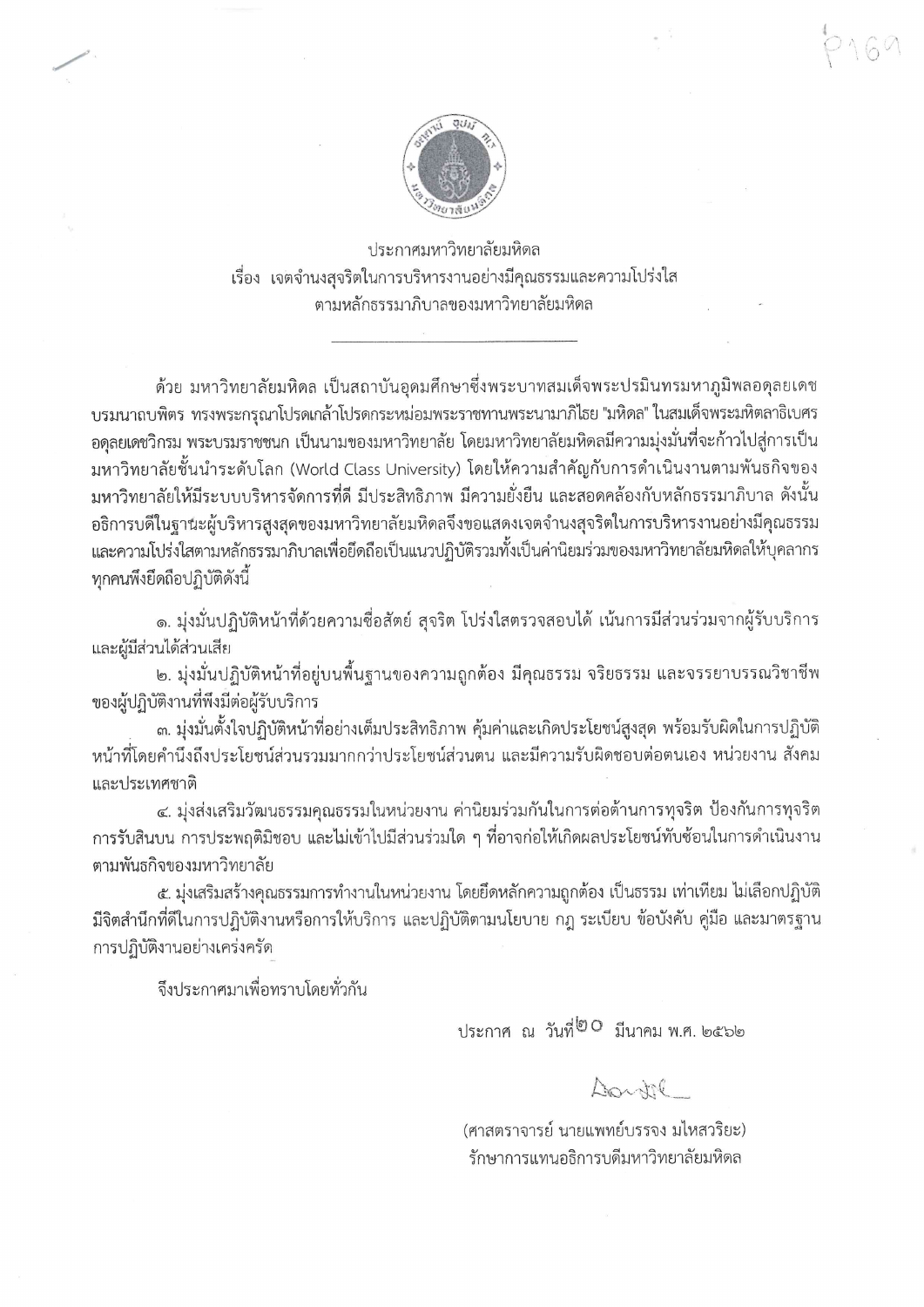ประกาศมหาวิทยาลัยมหิดล เรื่อง เจตจำนงสุจริตในการบริหารงานอย่างมีคุณธรรมและความโปร่งใส ตามหลักธรรมาภิบาลของมหาวิทยาลัยมหิดล

้ด้วย มหาวิทยาลัยมหิดล เป็นสถาบันอุดมศึกษาซึ่งพระบาทสมเด็จพระปรมินทรมหาภูมิพลอดุลยเดช บรมนาถบพิตร ทรงพระกรุณาโปรดเกล้าโปรดกระหม่อมพระราชทานพระนามาภิไธย "มหิดล" ในสมเด็จพระมหิตลาธิเบศร ้อดุลยเดชวิกรม พระบรมราชชนก เป็นนามของมหาวิทยาลัย โดยมหาวิทยาลัยมหิดลมีความมุ่งมั่นที่จะก้าวไปสู่การเป็น ุ่มหาวิทยาลัยชั้นนำระดับโลก (World Class University) โดยให้ความสำคัญกับการดำเนินงานตามพันธกิจของ ้มหาวิทยาลัยให้มีระบบบริหารจัดการที่ดี มีประสิทธิภาพ มีความยั่งยืน และสอดคล้องกับหลักธรรมาภิบาล ดังนั้น อธิการบดีในฐานะผู้บริหารสูงสุดของมหาวิทยาลัยมหิดลจึงขอแสดงเจตจำนงสุจริตในการบริหารงานอย่างมีคุณธรรม และความโปร่งใสตามหลักธรรมาภิบาลเพื่อยึดถือเป็นแนวปฏิบัติรวมทั้งเป็นค่านิยมร่วมของมหาวิทยาลัยมหิดลให้บุคลากร ทกคนพึ่งยึดถือปฏิบัติดังนี้

๑. มุ่งมั่นปฏิบัติหน้าที่ด้วยความชื่อสัตย์ สุจริต โปร่งใสตรวจสอบได้ เน้นการมีส่วนร่วมจากผู้รับบริการ และผู้มีส่วนได้ส่วนเสีย

๒. มุ่งมั่นปฏิบัติหน้าที่อยู่บนพื้นฐานของความถูกต้อง มีคุณธรรม จริยธรรม และจรรยาบรรณวิชาชีพ ของผู้ปฏิบัติงานที่พึงมีต่อผู้รับบริการ

. ๓. มุ่งมั่นตั้งใจปฏิบัติหน้าที่อย่างเต็มประสิทธิภาพ คุ้มค่าและเกิดประโยชน์สูงสุด พร้อมรับผิดในการปฏิบัติ หน้าที่โดยคำนึงถึงประโยชน์ส่วนรวมมากกว่าประโยชน์ส่วนตน และมีความรับผิดชอบต่อตนเอง หน่วยงาน สังคม และประเทศชาติ

๔. มุ่งส่งเสริมวัฒนธรรมคุณธรรมในหน่วยงาน ค่านิยมร่วมกันในการต่อต้านการทุจริต ป้องกันการทุจริต การรับสินบน การประพฤติมิชอบ และไม่เข้าไปมีส่วนร่วมใด ๆ ที่อาจก่อให้เกิดผลประโยชน์ทับซ้อนในการดำเนินงาน ตามพันธกิจของมหาวิทยาลัย

๕. มุ่งเสริมสร้างคุณธรรมการทำงานในหน่วยงาน โดยยึดหลักความถูกต้อง เป็นธรรม เท่าเทียม ไม่เลือกปฏิบัติ มีจิตสำนึกที่ดีในการปฏิบัติงานหรือการให้บริการ และปฏิบัติตามนโยบาย กฎ ระเบียบ ข้อบังคับ คู่มือ และมาตรฐาน การปฏิบัติงานอย่างเคร่งครัด

จึงประกาศมาเพื่อทราบโดยทั่วกัน

ประกาศ ณ วันที่<sup>๒๐</sup> มีนาคม พ.ศ. ๒๕๖๒

Donotil

(ศาสตราจารย์ นายแพทย์บรรจง มไหสวริยะ) รักษาการแทนอธิการบดีมหาวิทยาลัยมหิดล